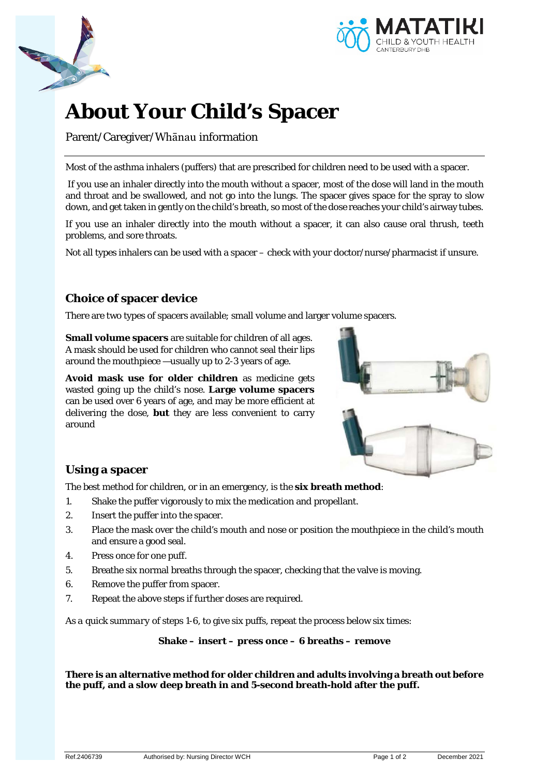



# **About Your Child's Spacer**

Parent/Caregiver/Whānau information

Most of the asthma inhalers (puffers) that are prescribed for children need to be used with a spacer.

If you use an inhaler directly into the mouth without a spacer, most of the dose will land in the mouth and throat and be swallowed, and not go into the lungs. The spacer gives space for the spray to slow down, and get taken in gently on the child's breath, so most of the dose reaches your child's airway tubes.

If you use an inhaler directly into the mouth without a spacer, it can also cause oral thrush, teeth problems, and sore throats.

Not all types inhalers can be used with a spacer – check with your doctor/nurse/pharmacist if unsure.

# **Choice of spacer device**

There are two types of spacers available; small volume and larger volume spacers.

**Small volume spacers** are suitable for children of all ages. A mask should be used for children who cannot seal their lips around the mouthpiece —usually up to 2-3 years of age.

**Avoid mask use for older children** as medicine gets wasted going up the child's nose. **Large volume spacers** can be used over 6 years of age, and may be more efficient at delivering the dose, **but** they are less convenient to carry around



## **Using a spacer**

The best method for children, or in an emergency, is the **six breath method**:

- 1. Shake the puffer vigorously to mix the medication and propellant.
- 2. Insert the puffer into the spacer.
- 3. Place the mask over the child's mouth and nose or position the mouthpiece in the child's mouth and ensure a good seal.
- 4. Press once for one puff.
- 5. Breathe six normal breaths through the spacer, checking that the valve is moving.
- 6. Remove the puffer from spacer.
- 7. Repeat the above steps if further doses are required.

*As a quick summary of steps 1-6,* to give six puffs, repeat the process below six times:

**Shake – insert – press once – 6 breaths – remove**

**There is an alternative method for older children and adults involving a breath out before the puff, and a slow deep breath in and 5-second breath-hold after the puff.**